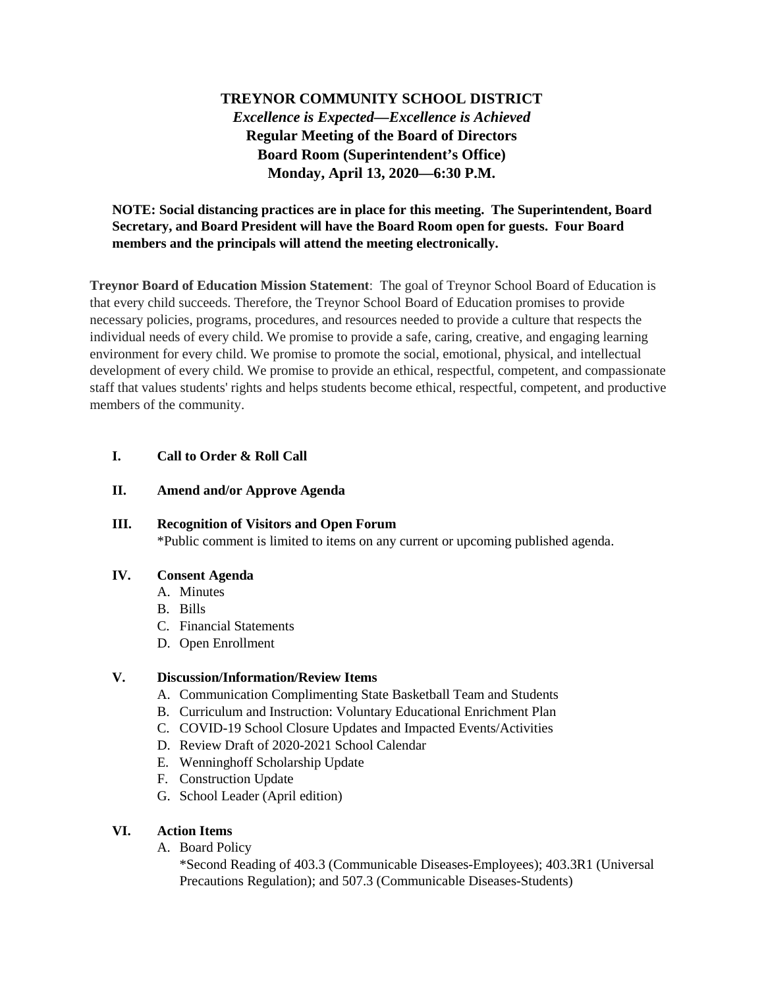# **TREYNOR COMMUNITY SCHOOL DISTRICT** *Excellence is Expected—Excellence is Achieved* **Regular Meeting of the Board of Directors Board Room (Superintendent's Office) Monday, April 13, 2020—6:30 P.M.**

# **NOTE: Social distancing practices are in place for this meeting. The Superintendent, Board Secretary, and Board President will have the Board Room open for guests. Four Board members and the principals will attend the meeting electronically.**

**Treynor Board of Education Mission Statement**: The goal of Treynor School Board of Education is that every child succeeds. Therefore, the Treynor School Board of Education promises to provide necessary policies, programs, procedures, and resources needed to provide a culture that respects the individual needs of every child. We promise to provide a safe, caring, creative, and engaging learning environment for every child. We promise to promote the social, emotional, physical, and intellectual development of every child. We promise to provide an ethical, respectful, competent, and compassionate staff that values students' rights and helps students become ethical, respectful, competent, and productive members of the community.

# **I. Call to Order & Roll Call**

### **II. Amend and/or Approve Agenda**

# **III. Recognition of Visitors and Open Forum** \*Public comment is limited to items on any current or upcoming published agenda.

### **IV. Consent Agenda**

- A. Minutes
- B. Bills
- C. Financial Statements
- D. Open Enrollment

#### **V. Discussion/Information/Review Items**

- A. Communication Complimenting State Basketball Team and Students
- B. Curriculum and Instruction: Voluntary Educational Enrichment Plan
- C. COVID-19 School Closure Updates and Impacted Events/Activities
- D. Review Draft of 2020-2021 School Calendar
- E. Wenninghoff Scholarship Update
- F. Construction Update
- G. School Leader (April edition)

### **VI. Action Items**

A. Board Policy

\*Second Reading of 403.3 (Communicable Diseases-Employees); 403.3R1 (Universal Precautions Regulation); and 507.3 (Communicable Diseases-Students)